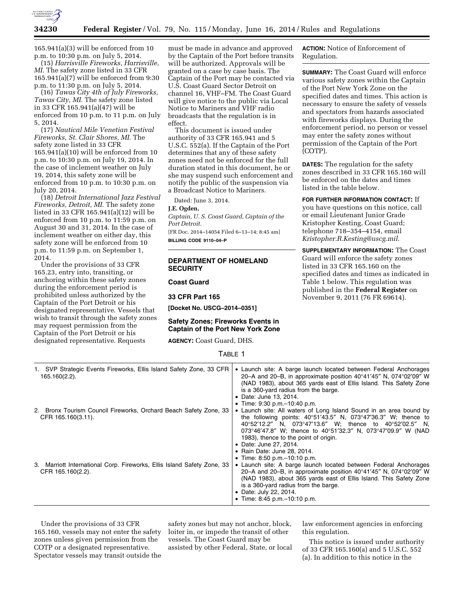

165.941(a)(3) will be enforced from 10 p.m. to 10:30 p.m. on July 5, 2014.

(15) *Harrisville Fireworks, Harrisville, MI.* The safety zone listed in 33 CFR 165.941(a)(7) will be enforced from 9:30 p.m. to 11:30 p.m. on July 5, 2014.

(16) *Tawas City 4th of July Fireworks, Tawas City, MI.* The safety zone listed in 33 CFR 165.941(a)(47) will be enforced from 10 p.m. to 11 p.m. on July 5, 2014.

(17) *Nautical Mile Venetian Festival Fireworks, St. Clair Shores, MI.* The safety zone listed in 33 CFR 165.941(a)(10) will be enforced from 10 p.m. to 10:30 p.m. on July 19, 2014. In the case of inclement weather on July 19, 2014, this safety zone will be enforced from 10 p.m. to 10:30 p.m. on July 20, 2014.

(18) *Detroit International Jazz Festival Fireworks, Detroit, MI.* The safety zone listed in 33 CFR 165.941(a)(12) will be enforced from 10 p.m. to 11:59 p.m. on August 30 and 31, 2014. In the case of inclement weather on either day, this safety zone will be enforced from 10 p.m. to 11:59 p.m. on September 1, 2014.

Under the provisions of 33 CFR 165.23, entry into, transiting, or anchoring within these safety zones during the enforcement period is prohibited unless authorized by the Captain of the Port Detroit or his designated representative. Vessels that wish to transit through the safety zones may request permission from the Captain of the Port Detroit or his designated representative. Requests

must be made in advance and approved by the Captain of the Port before transits will be authorized. Approvals will be granted on a case by case basis. The Captain of the Port may be contacted via U.S. Coast Guard Sector Detroit on channel 16, VHF–FM. The Coast Guard will give notice to the public via Local Notice to Mariners and VHF radio broadcasts that the regulation is in effect.

This document is issued under authority of 33 CFR 165.941 and 5 U.S.C. 552(a). If the Captain of the Port determines that any of these safety zones need not be enforced for the full duration stated in this document, he or she may suspend such enforcement and notify the public of the suspension via a Broadcast Notice to Mariners.

Dated: June 3, 2014.

### **J.E. Ogden,**

*Captain, U. S. Coast Guard, Captain of the Port Detroit.* 

[FR Doc. 2014–14054 Filed 6–13–14; 8:45 am] **BILLING CODE 9110–04–P** 

### **DEPARTMENT OF HOMELAND SECURITY**

**Coast Guard** 

### **33 CFR Part 165**

**[Docket No. USCG–2014–0351]** 

### **Safety Zones; Fireworks Events in Captain of the Port New York Zone**

**AGENCY:** Coast Guard, DHS.

**ACTION:** Notice of Enforcement of Regulation.

**SUMMARY:** The Coast Guard will enforce various safety zones within the Captain of the Port New York Zone on the specified dates and times. This action is necessary to ensure the safety of vessels and spectators from hazards associated with fireworks displays. During the enforcement period, no person or vessel may enter the safety zones without permission of the Captain of the Port (COTP).

**DATES:** The regulation for the safety zones described in 33 CFR 165.160 will be enforced on the dates and times listed in the table below.

**FOR FURTHER INFORMATION CONTACT:** If you have questions on this notice, call or email Lieutenant Junior Grade Kristopher Kesting, Coast Guard; telephone 718–354–4154, email *[Kristopher.R.Kesting@uscg.mil](mailto:Kristopher.R.Kesting@uscg.mil)*.

**SUPPLEMENTARY INFORMATION:** The Coast Guard will enforce the safety zones listed in 33 CFR 165.160 on the specified dates and times as indicated in Table 1 below. This regulation was published in the **Federal Register** on November 9, 2011 (76 FR 69614).

| r. |  |
|----|--|
|----|--|

| 1. SVP Strategic Events Fireworks, Ellis Island Safety Zone, 33 CFR<br>$165.160(2.2)$ .      | • Launch site: A barge launch located between Federal Anchorages<br>20–A and 20–B, in approximate position $40^{\circ}41'45''$ N, $074^{\circ}02'09''$ W<br>(NAD 1983), about 365 yards east of Ellis Island. This Safety Zone<br>is a 360-yard radius from the barge.<br>• Date: June 13, 2014.<br>• Time: 9:30 p.m. - 10:40 p.m.                                                                                         |
|----------------------------------------------------------------------------------------------|----------------------------------------------------------------------------------------------------------------------------------------------------------------------------------------------------------------------------------------------------------------------------------------------------------------------------------------------------------------------------------------------------------------------------|
| 2. Bronx Tourism Council Fireworks, Orchard Beach Safety Zone, 33<br>CFR 165.160(3.11).      | • Launch site: All waters of Long Island Sound in an area bound by<br>the following points: $40^{\circ}51'43.5''$ N, $073^{\circ}47'36.3''$ W; thence to<br>40°52'12.2" N, 073°47'13.6" W; thence to 40°52'02.5" N,<br>073°46'47.8" W; thence to 40°51'32.3" N, 073°47'09.9" W (NAD<br>1983), thence to the point of origin.<br>• Date: June 27, 2014.<br>• Rain Date: June 28, 2014.<br>• Time: $8:50$ p.m. $-10:10$ p.m. |
| 3. Marriott International Corp. Fireworks, Ellis Island Safety Zone, 33<br>CFR 165.160(2.2). | • Launch site: A barge launch located between Federal Anchorages<br>20–A and 20–B, in approximate position $40^{\circ}41'45''$ N, $074^{\circ}02'09''$ W<br>(NAD 1983), about 365 yards east of Ellis Island. This Safety Zone<br>is a 360-yard radius from the barge.<br>• Date: July 22, 2014.<br>• Time: 8:45 p.m. $-10:10$ p.m.                                                                                        |

Under the provisions of 33 CFR 165.160, vessels may not enter the safety zones unless given permission from the COTP or a designated representative. Spectator vessels may transit outside the

safety zones but may not anchor, block, loiter in, or impede the transit of other vessels. The Coast Guard may be assisted by other Federal, State, or local

law enforcement agencies in enforcing this regulation.

This notice is issued under authority of 33 CFR 165.160(a) and 5 U.S.C. 552 (a). In addition to this notice in the